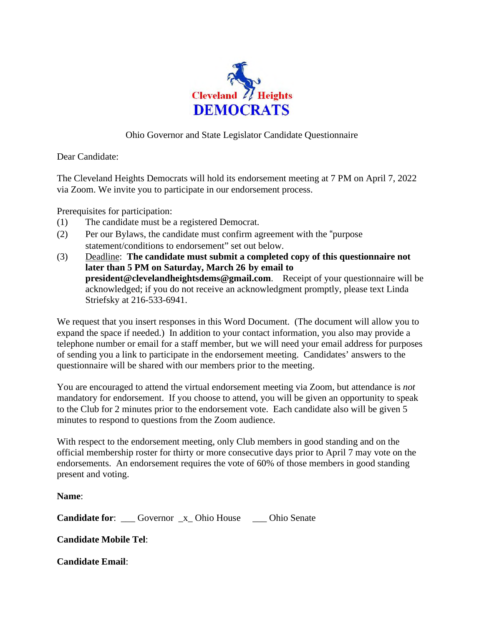

## Ohio Governor and State Legislator Candidate Questionnaire

Dear Candidate:

The Cleveland Heights Democrats will hold its endorsement meeting at 7 PM on April 7, 2022 via Zoom. We invite you to participate in our endorsement process.

Prerequisites for participation:

- (1) The candidate must be a registered Democrat.
- (2) Per our Bylaws, the candidate must confirm agreement with the "purpose statement/conditions to endorsement" set out below.
- (3) Deadline: **The candidate must submit a completed copy of this questionnaire not later than 5 PM on Saturday, March 26 by email to president@clevelandheightsdems@gmail.com**. Receipt of your questionnaire will be acknowledged; if you do not receive an acknowledgment promptly, please text Linda Striefsky at 216-533-6941.

We request that you insert responses in this Word Document. (The document will allow you to expand the space if needed.) In addition to your contact information, you also may provide a telephone number or email for a staff member, but we will need your email address for purposes of sending you a link to participate in the endorsement meeting. Candidates' answers to the questionnaire will be shared with our members prior to the meeting.

You are encouraged to attend the virtual endorsement meeting via Zoom, but attendance is *not*  mandatory for endorsement. If you choose to attend, you will be given an opportunity to speak to the Club for 2 minutes prior to the endorsement vote. Each candidate also will be given 5 minutes to respond to questions from the Zoom audience.

With respect to the endorsement meeting, only Club members in good standing and on the official membership roster for thirty or more consecutive days prior to April 7 may vote on the endorsements. An endorsement requires the vote of 60% of those members in good standing present and voting.

**Name**:

**Candidate for:** Governor x Ohio House Dhio Senate

**Candidate Mobile Tel**:

**Candidate Email**: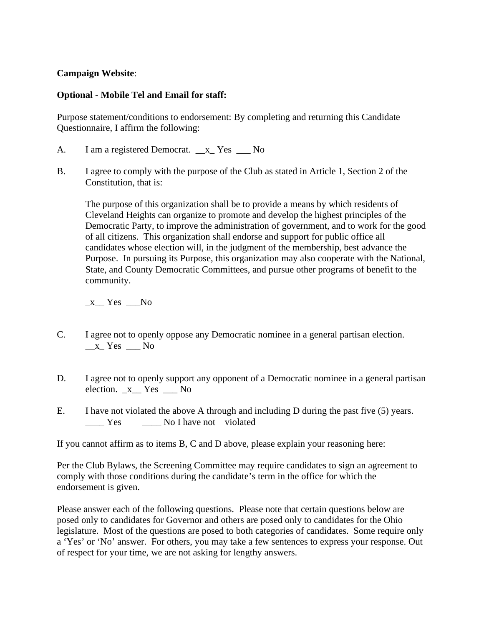## **Campaign Website**:

## **Optional - Mobile Tel and Email for staff:**

Purpose statement/conditions to endorsement: By completing and returning this Candidate Questionnaire, I affirm the following:

- A. I am a registered Democrat.  $\bar{x}$  Yes No
- B. I agree to comply with the purpose of the Club as stated in Article 1, Section 2 of the Constitution, that is:

The purpose of this organization shall be to provide a means by which residents of Cleveland Heights can organize to promote and develop the highest principles of the Democratic Party, to improve the administration of government, and to work for the good of all citizens. This organization shall endorse and support for public office all candidates whose election will, in the judgment of the membership, best advance the Purpose. In pursuing its Purpose, this organization may also cooperate with the National, State, and County Democratic Committees, and pursue other programs of benefit to the community.

 $_x$  Yes  $_N$ 

- C. I agree not to openly oppose any Democratic nominee in a general partisan election.  $x$ <sup>X</sup> Yes  $x$ <sup>No</sup>
- D. I agree not to openly support any opponent of a Democratic nominee in a general partisan election.  $x$  Yes  $\_\_$  No
- E. I have not violated the above A through and including D during the past five (5) years. \_\_\_\_ Yes \_\_\_\_ No I have not violated

If you cannot affirm as to items B, C and D above, please explain your reasoning here:

Per the Club Bylaws, the Screening Committee may require candidates to sign an agreement to comply with those conditions during the candidate's term in the office for which the endorsement is given.

Please answer each of the following questions. Please note that certain questions below are posed only to candidates for Governor and others are posed only to candidates for the Ohio legislature. Most of the questions are posed to both categories of candidates. Some require only a 'Yes' or 'No' answer. For others, you may take a few sentences to express your response. Out of respect for your time, we are not asking for lengthy answers.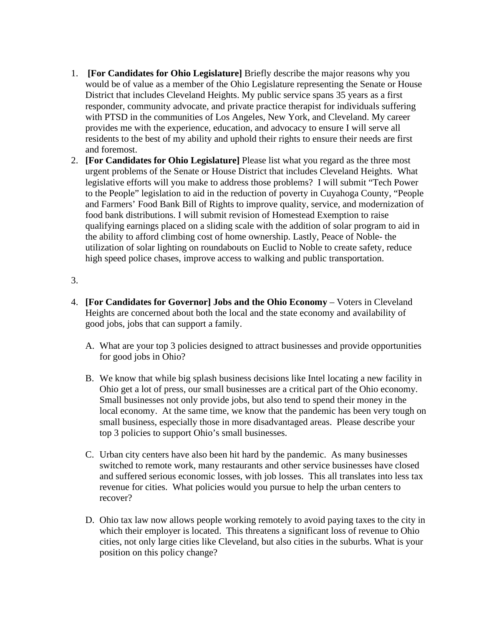- 1. **[For Candidates for Ohio Legislature]** Briefly describe the major reasons why you would be of value as a member of the Ohio Legislature representing the Senate or House District that includes Cleveland Heights. My public service spans 35 years as a first responder, community advocate, and private practice therapist for individuals suffering with PTSD in the communities of Los Angeles, New York, and Cleveland. My career provides me with the experience, education, and advocacy to ensure I will serve all residents to the best of my ability and uphold their rights to ensure their needs are first and foremost.
- 2. **[For Candidates for Ohio Legislature]** Please list what you regard as the three most urgent problems of the Senate or House District that includes Cleveland Heights. What legislative efforts will you make to address those problems? I will submit "Tech Power to the People" legislation to aid in the reduction of poverty in Cuyahoga County, "People and Farmers' Food Bank Bill of Rights to improve quality, service, and modernization of food bank distributions. I will submit revision of Homestead Exemption to raise qualifying earnings placed on a sliding scale with the addition of solar program to aid in the ability to afford climbing cost of home ownership. Lastly, Peace of Noble- the utilization of solar lighting on roundabouts on Euclid to Noble to create safety, reduce high speed police chases, improve access to walking and public transportation.
- 3.
- 4. **[For Candidates for Governor] Jobs and the Ohio Economy** Voters in Cleveland Heights are concerned about both the local and the state economy and availability of good jobs, jobs that can support a family.
	- A. What are your top 3 policies designed to attract businesses and provide opportunities for good jobs in Ohio?
	- B. We know that while big splash business decisions like Intel locating a new facility in Ohio get a lot of press, our small businesses are a critical part of the Ohio economy. Small businesses not only provide jobs, but also tend to spend their money in the local economy. At the same time, we know that the pandemic has been very tough on small business, especially those in more disadvantaged areas. Please describe your top 3 policies to support Ohio's small businesses.
	- C. Urban city centers have also been hit hard by the pandemic. As many businesses switched to remote work, many restaurants and other service businesses have closed and suffered serious economic losses, with job losses. This all translates into less tax revenue for cities. What policies would you pursue to help the urban centers to recover?
	- D. Ohio tax law now allows people working remotely to avoid paying taxes to the city in which their employer is located. This threatens a significant loss of revenue to Ohio cities, not only large cities like Cleveland, but also cities in the suburbs. What is your position on this policy change?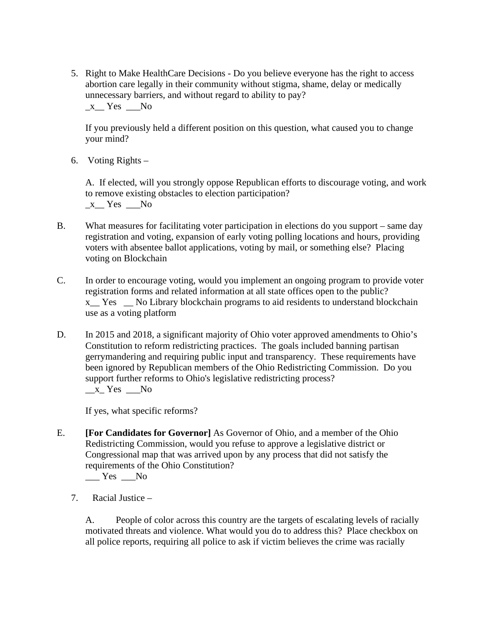5. Right to Make HealthCare Decisions - Do you believe everyone has the right to access abortion care legally in their community without stigma, shame, delay or medically unnecessary barriers, and without regard to ability to pay?  $x$  Yes No

If you previously held a different position on this question, what caused you to change your mind?

6. Voting Rights –

A. If elected, will you strongly oppose Republican efforts to discourage voting, and work to remove existing obstacles to election participation?  $x$ <sup> $Y$ es  $N$ o</sup>

- B. What measures for facilitating voter participation in elections do you support same day registration and voting, expansion of early voting polling locations and hours, providing voters with absentee ballot applications, voting by mail, or something else? Placing voting on Blockchain
- C. In order to encourage voting, would you implement an ongoing program to provide voter registration forms and related information at all state offices open to the public? x\_\_ Yes \_\_ No Library blockchain programs to aid residents to understand blockchain use as a voting platform
- D. In 2015 and 2018, a significant majority of Ohio voter approved amendments to Ohio's Constitution to reform redistricting practices. The goals included banning partisan gerrymandering and requiring public input and transparency. These requirements have been ignored by Republican members of the Ohio Redistricting Commission. Do you support further reforms to Ohio's legislative redistricting process?  $x$ <sup>r</sup> $Y$ es  $x$

If yes, what specific reforms?

- E. **[For Candidates for Governor]** As Governor of Ohio, and a member of the Ohio Redistricting Commission, would you refuse to approve a legislative district or Congressional map that was arrived upon by any process that did not satisfy the requirements of the Ohio Constitution? Yes No
	- 7. Racial Justice –

A. People of color across this country are the targets of escalating levels of racially motivated threats and violence. What would you do to address this? Place checkbox on all police reports, requiring all police to ask if victim believes the crime was racially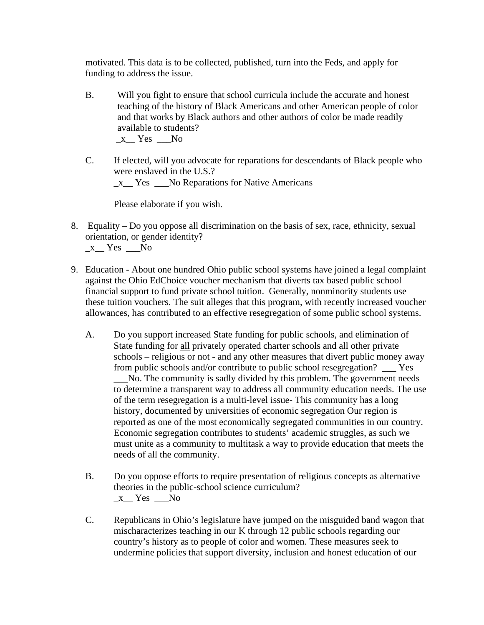motivated. This data is to be collected, published, turn into the Feds, and apply for funding to address the issue.

- B. Will you fight to ensure that school curricula include the accurate and honest teaching of the history of Black Americans and other American people of color and that works by Black authors and other authors of color be made readily available to students?  $x$ <sup> $Y$ es No</sup>
- C. If elected, will you advocate for reparations for descendants of Black people who were enslaved in the U.S.?  $x$  Yes No Reparations for Native Americans

Please elaborate if you wish.

8. Equality – Do you oppose all discrimination on the basis of sex, race, ethnicity, sexual orientation, or gender identity?

 $x$ <sup> $Y$ es No</sup>

- 9. Education About one hundred Ohio public school systems have joined a legal complaint against the Ohio EdChoice voucher mechanism that diverts tax based public school financial support to fund private school tuition. Generally, nonminority students use these tuition vouchers. The suit alleges that this program, with recently increased voucher allowances, has contributed to an effective resegregation of some public school systems.
	- A. Do you support increased State funding for public schools, and elimination of State funding for all privately operated charter schools and all other private schools – religious or not - and any other measures that divert public money away from public schools and/or contribute to public school resegregation? \_\_\_ Yes \_\_\_No. The community is sadly divided by this problem. The government needs to determine a transparent way to address all community education needs. The use of the term resegregation is a multi-level issue- This community has a long history, documented by universities of economic segregation Our region is reported as one of the most economically segregated communities in our country. Economic segregation contributes to students' academic struggles, as such we must unite as a community to multitask a way to provide education that meets the needs of all the community.
	- B. Do you oppose efforts to require presentation of religious concepts as alternative theories in the public-school science curriculum?  $x$ <sup>Nes No</sup>
	- C. Republicans in Ohio's legislature have jumped on the misguided band wagon that mischaracterizes teaching in our K through 12 public schools regarding our country's history as to people of color and women. These measures seek to undermine policies that support diversity, inclusion and honest education of our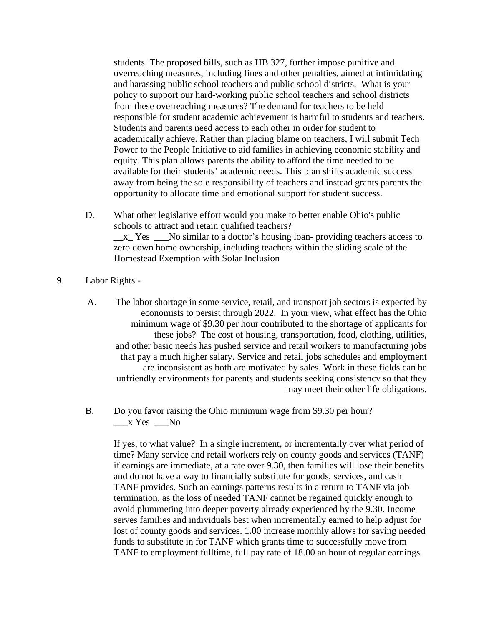students. The proposed bills, such as HB 327, further impose punitive and overreaching measures, including fines and other penalties, aimed at intimidating and harassing public school teachers and public school districts. What is your policy to support our hard-working public school teachers and school districts from these overreaching measures? The demand for teachers to be held responsible for student academic achievement is harmful to students and teachers. Students and parents need access to each other in order for student to academically achieve. Rather than placing blame on teachers, I will submit Tech Power to the People Initiative to aid families in achieving economic stability and equity. This plan allows parents the ability to afford the time needed to be available for their students' academic needs. This plan shifts academic success away from being the sole responsibility of teachers and instead grants parents the opportunity to allocate time and emotional support for student success.

- D. What other legislative effort would you make to better enable Ohio's public schools to attract and retain qualified teachers? \_\_x\_ Yes \_\_\_No similar to a doctor's housing loan- providing teachers access to zero down home ownership, including teachers within the sliding scale of the Homestead Exemption with Solar Inclusion
- 9. Labor Rights
	- A. The labor shortage in some service, retail, and transport job sectors is expected by economists to persist through 2022. In your view, what effect has the Ohio minimum wage of \$9.30 per hour contributed to the shortage of applicants for these jobs? The cost of housing, transportation, food, clothing, utilities, and other basic needs has pushed service and retail workers to manufacturing jobs that pay a much higher salary. Service and retail jobs schedules and employment are inconsistent as both are motivated by sales. Work in these fields can be unfriendly environments for parents and students seeking consistency so that they may meet their other life obligations.
	- B. Do you favor raising the Ohio minimum wage from \$9.30 per hour? \_\_\_x Yes \_\_\_No

If yes, to what value? In a single increment, or incrementally over what period of time? Many service and retail workers rely on county goods and services (TANF) if earnings are immediate, at a rate over 9.30, then families will lose their benefits and do not have a way to financially substitute for goods, services, and cash TANF provides. Such an earnings patterns results in a return to TANF via job termination, as the loss of needed TANF cannot be regained quickly enough to avoid plummeting into deeper poverty already experienced by the 9.30. Income serves families and individuals best when incrementally earned to help adjust for lost of county goods and services. 1.00 increase monthly allows for saving needed funds to substitute in for TANF which grants time to successfully move from TANF to employment fulltime, full pay rate of 18.00 an hour of regular earnings.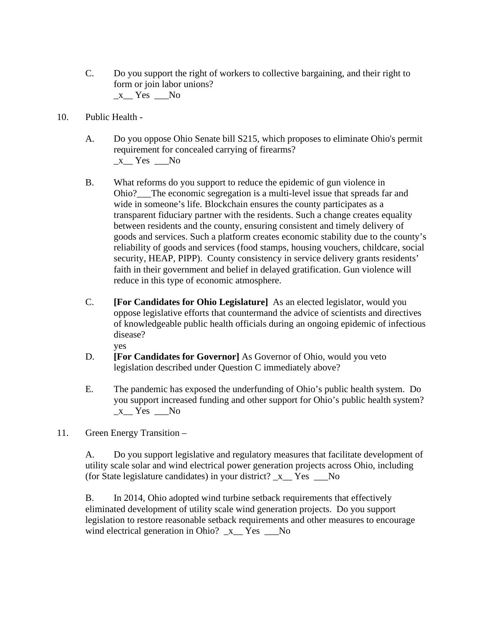- C. Do you support the right of workers to collective bargaining, and their right to form or join labor unions?  $x$ <sup>Yes</sup>  $\_\$
- 10. Public Health
	- A. Do you oppose Ohio Senate bill S215, which proposes to eliminate Ohio's permit requirement for concealed carrying of firearms?  $x$ <sup>Nes No</sup>
	- B. What reforms do you support to reduce the epidemic of gun violence in Ohio?\_\_\_The economic segregation is a multi-level issue that spreads far and wide in someone's life. Blockchain ensures the county participates as a transparent fiduciary partner with the residents. Such a change creates equality between residents and the county, ensuring consistent and timely delivery of goods and services. Such a platform creates economic stability due to the county's reliability of goods and services (food stamps, housing vouchers, childcare, social security, HEAP, PIPP). County consistency in service delivery grants residents' faith in their government and belief in delayed gratification. Gun violence will reduce in this type of economic atmosphere.
	- C. **[For Candidates for Ohio Legislature]** As an elected legislator, would you oppose legislative efforts that countermand the advice of scientists and directives of knowledgeable public health officials during an ongoing epidemic of infectious disease? yes
	- D. **[For Candidates for Governor]** As Governor of Ohio, would you veto legislation described under Question C immediately above?
	- E. The pandemic has exposed the underfunding of Ohio's public health system. Do you support increased funding and other support for Ohio's public health system?  $x$ <sup>Nes  $x$ </sup>
- 11. Green Energy Transition –

A. Do you support legislative and regulatory measures that facilitate development of utility scale solar and wind electrical power generation projects across Ohio, including (for State legislature candidates) in your district? \_x\_\_ Yes \_\_\_No

B. In 2014, Ohio adopted wind turbine setback requirements that effectively eliminated development of utility scale wind generation projects. Do you support legislation to restore reasonable setback requirements and other measures to encourage wind electrical generation in Ohio?  $x$  Yes No